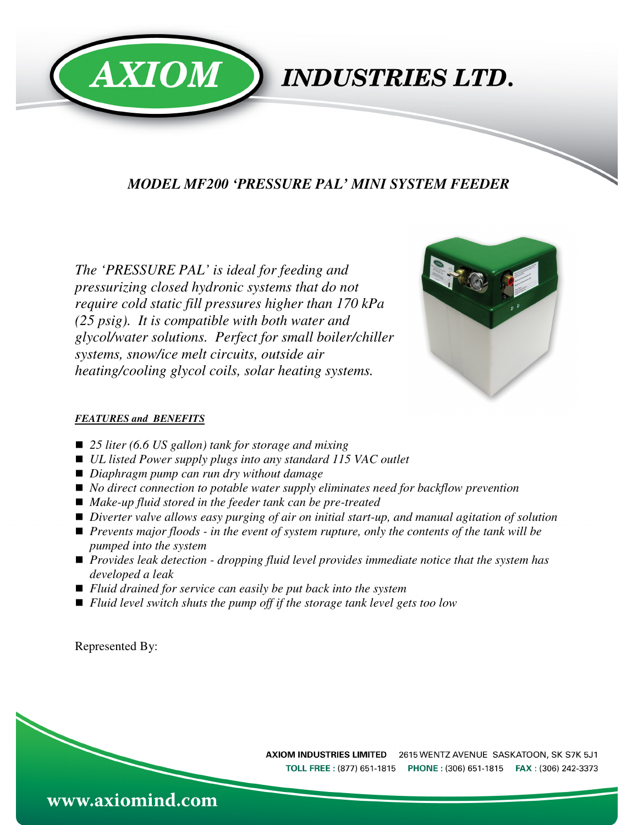

### *MODEL MF200 'PRESSURE PAL' MINI SYSTEM FEEDER*

*The 'PRESSURE PAL' is ideal for feeding and pressurizing closed hydronic systems that do not require cold static fill pressures higher than 170 kPa (25 psig). It is compatible with both water and glycol/water solutions. Perfect for small boiler/chiller systems, snow/ice melt circuits, outside air heating/cooling glycol coils, solar heating systems.* 



#### *FEATURES and BENEFITS*

- 25 liter (6.6 US gallon) tank for storage and mixing
- *UL listed Power supply plugs into any standard 115 VAC outlet*
- *Diaphragm pump can run dry without damage*
- *No direct connection to potable water supply eliminates need for backflow prevention*
- *Make-up fluid stored in the feeder tank can be pre-treated*
- *Diverter valve allows easy purging of air on initial start-up, and manual agitation of solution*
- *Prevents major floods in the event of system rupture, only the contents of the tank will be pumped into the system*
- *Provides leak detection dropping fluid level provides immediate notice that the system has developed a leak*
- *Fluid drained for service can easily be put back into the system*
- *Fluid level switch shuts the pump off if the storage tank level gets too low*

Represented By: